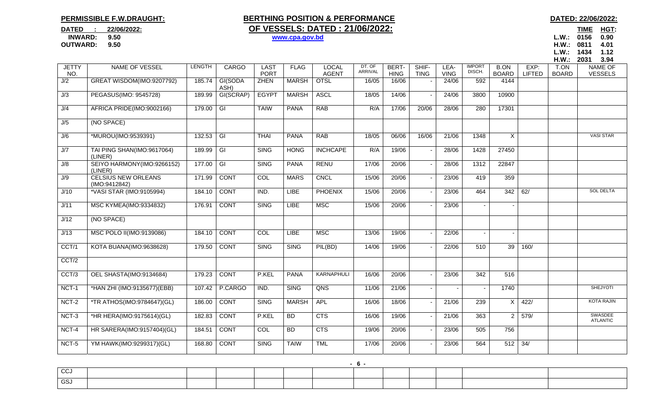## **PERMISSIBLE F.W.DRAUGHT:**

## **BERTHING POSITION & PERFORMANCE BERTHING POSITION & PERFORMANCE DATED : 22/06/2022: OF VESSELS: DATED : 21/06/2022:**

TIME HGT: **OUTWARD: 9.50 H.W.: 0811 4.01L.W.: 1434 1.12** 

|                     |                                             |               |                         |                            |              |                              |                   |                      |                      |                     |                         |                             |                       | H.W.:                | 2031<br>3.94                     |
|---------------------|---------------------------------------------|---------------|-------------------------|----------------------------|--------------|------------------------------|-------------------|----------------------|----------------------|---------------------|-------------------------|-----------------------------|-----------------------|----------------------|----------------------------------|
| <b>JETTY</b><br>NO. | NAME OF VESSEL                              | <b>LENGTH</b> | <b>CARGO</b>            | <b>LAST</b><br><b>PORT</b> | <b>FLAG</b>  | <b>LOCAL</b><br><b>AGENT</b> | DT. OF<br>ARRIVAL | BERT-<br><b>HING</b> | SHIF-<br><b>TING</b> | LEA-<br><b>VING</b> | <b>IMPORT</b><br>DISCH. | <b>B.ON</b><br><b>BOARD</b> | EXP:<br><b>LIFTED</b> | T.ON<br><b>BOARD</b> | <b>NAME OF</b><br><b>VESSELS</b> |
| J/2                 | GREAT WISDOM(IMO:9207792)                   | 185.74        | GI(SODA<br>ASH)         | <b>ZHEN</b>                | <b>MARSH</b> | <b>OTSL</b>                  | 16/05             | 16/06                |                      | 24/06               | 592                     | 4144                        |                       |                      |                                  |
| J/3                 | PEGASUS(IMO: 9545728)                       | 189.99        | GI(SCRAP)               | <b>EGYPT</b>               | <b>MARSH</b> | <b>ASCL</b>                  | 18/05             | 14/06                |                      | 24/06               | 3800                    | 10900                       |                       |                      |                                  |
| J/4                 | AFRICA PRIDE(IMO:9002166)                   | 179.00        | $\overline{G}$          | <b>TAIW</b>                | <b>PANA</b>  | <b>RAB</b>                   | R/A               | 17/06                | 20/06                | 28/06               | 280                     | 17301                       |                       |                      |                                  |
| J/5                 | (NO SPACE)                                  |               |                         |                            |              |                              |                   |                      |                      |                     |                         |                             |                       |                      |                                  |
| J/6                 | *MUROU(IMO:9539391)                         | 132.53        | $\overline{\mathsf{G}}$ | <b>THAI</b>                | <b>PANA</b>  | RAB                          | 18/05             | 06/06                | 16/06                | 21/06               | 1348                    | X                           |                       |                      | <b>VASI STAR</b>                 |
| J/7                 | TAI PING SHAN(IMO:9617064)<br>(LINER)       | 189.99        | $\overline{G}$          | <b>SING</b>                | <b>HONG</b>  | <b>INCHCAPE</b>              | R/A               | 19/06                |                      | 28/06               | 1428                    | 27450                       |                       |                      |                                  |
| J/8                 | SEIYO HARMONY(IMO:9266152)<br>(LINER)       | 177.00        | $\overline{G}$          | <b>SING</b>                | <b>PANA</b>  | <b>RENU</b>                  | 17/06             | 20/06                |                      | 28/06               | 1312                    | 22847                       |                       |                      |                                  |
| J/9                 | <b>CELSIUS NEW ORLEANS</b><br>(IMO:9412842) | 171.99        | <b>CONT</b>             | COL                        | <b>MARS</b>  | <b>CNCL</b>                  | 15/06             | 20/06                |                      | 23/06               | 419                     | 359                         |                       |                      |                                  |
| J/10                | *VASI STAR (IMO:9105994)                    | 184.10        | <b>CONT</b>             | IND.                       | <b>LIBE</b>  | <b>PHOENIX</b>               | 15/06             | 20/06                |                      | 23/06               | 464                     | 342                         | 62/                   |                      | <b>SOL DELTA</b>                 |
| J/11                | MSC KYMEA(IMO:9334832)                      | 176.91        | <b>CONT</b>             | <b>SING</b>                | <b>LIBE</b>  | <b>MSC</b>                   | 15/06             | 20/06                |                      | 23/06               |                         |                             |                       |                      |                                  |
| J/12                | (NO SPACE)                                  |               |                         |                            |              |                              |                   |                      |                      |                     |                         |                             |                       |                      |                                  |
| J/13                | MSC POLO II(IMO:9139086)                    | 184.10        | <b>CONT</b>             | COL                        | <b>LIBE</b>  | <b>MSC</b>                   | 13/06             | 19/06                |                      | 22/06               |                         |                             |                       |                      |                                  |
| CCT/1               | KOTA BUANA(IMO:9638628)                     | 179.50        | <b>CONT</b>             | <b>SING</b>                | <b>SING</b>  | PIL(BD)                      | 14/06             | 19/06                |                      | 22/06               | 510                     | 39                          | 160/                  |                      |                                  |
| CCT/2               |                                             |               |                         |                            |              |                              |                   |                      |                      |                     |                         |                             |                       |                      |                                  |
| CCT/3               | OEL SHASTA(IMO:9134684)                     | 179.23        | <b>CONT</b>             | P.KEL                      | <b>PANA</b>  | KARNAPHULI                   | 16/06             | 20/06                |                      | 23/06               | 342                     | 516                         |                       |                      |                                  |
| NCT-1               | *HAN ZHI (IMO:9135677)(EBB)                 | 107.42        | P.CARGO                 | IND.                       | <b>SING</b>  | QNS                          | 11/06             | 21/06                |                      |                     |                         | 1740                        |                       |                      | <b>SHEJYOTI</b>                  |
| NCT-2               | *TR ATHOS(IMO:9784647)(GL)                  | 186.00        | <b>CONT</b>             | <b>SING</b>                | <b>MARSH</b> | <b>APL</b>                   | 16/06             | 18/06                |                      | 21/06               | 239                     | $\times$                    | 422/                  |                      | <b>KOTA RAJIN</b>                |
| NCT-3               | *HR HERA(IMO:9175614)(GL)                   | 182.83        | <b>CONT</b>             | P.KEL                      | BD           | CTS                          | 16/06             | 19/06                |                      | 21/06               | 363                     | $\overline{2}$              | 579/                  |                      | SWASDEE<br><b>ATLANTIC</b>       |
| NCT-4               | HR SARERA(IMO:9157404)(GL)                  | 184.51        | <b>CONT</b>             | COL                        | BD           | CTS                          | 19/06             | 20/06                |                      | 23/06               | 505                     | 756                         |                       |                      |                                  |
| NCT-5               | YM HAWK(IMO:9299317)(GL)                    | 168.80        | <b>CONT</b>             | <b>SING</b>                | <b>TAIW</b>  | <b>TML</b>                   | 17/06             | 20/06                |                      | 23/06               | 564                     | 512                         | $\overline{34/}$      |                      |                                  |
|                     |                                             |               |                         |                            |              |                              |                   |                      |                      |                     |                         |                             |                       |                      |                                  |

| $\sim$<br>ັບບປ |  |  |  |  |  |  |
|----------------|--|--|--|--|--|--|
| GSJ            |  |  |  |  |  |  |

**- 6 -** 

 **INWARD: 9.50 www.cpa.gov.bd L.W.: 0156 0.90**